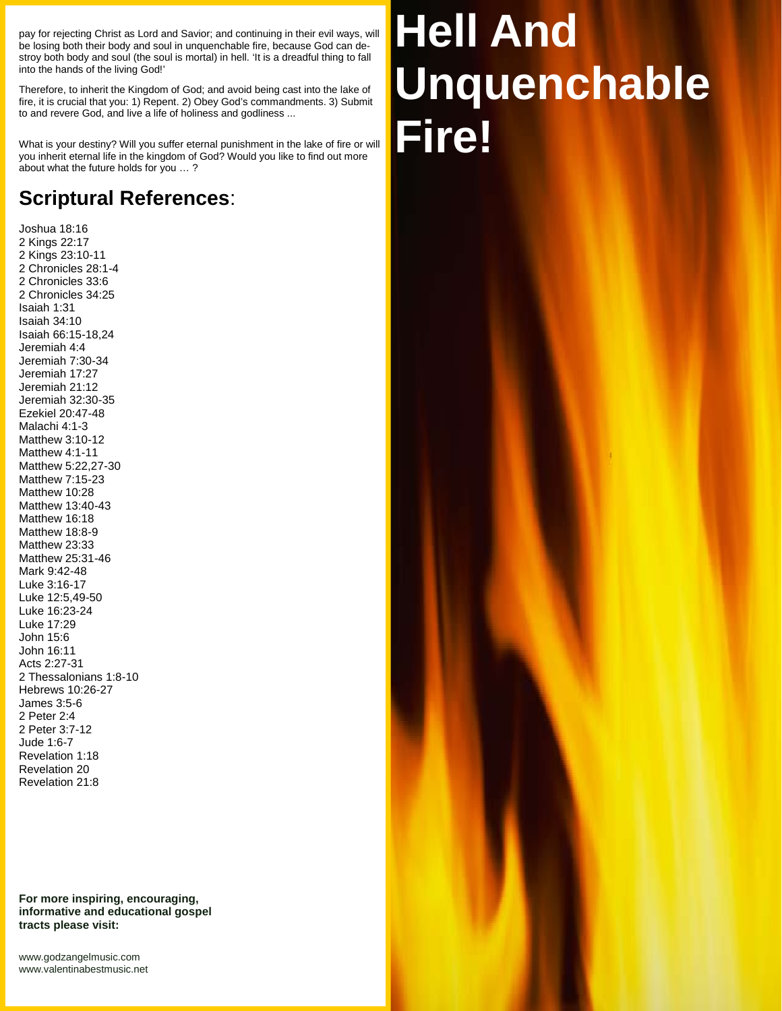pay for rejecting Christ as Lord and Savior; and continuing in their evil ways, will be losing both their body and soul in unquenchable fire, because God can de stroy both body and soul (the soul is mortal) in hell. 'It is a dreadful thing to fall into the hands of the living God!'

Therefore, to inherit the Kingdom of God; and avoid being cast into the lake of fire, it is crucial that you: 1) Repent. 2) Obey God's commandments. 3) Submit to and revere God, and live a life of holiness and godliness ...

What is your destiny? Will you suffer eternal punishment in the lake of fire or will you inherit eternal life in the kingdom of God? Would you like to find out more about what the future holds for you … ?

## **Scriptural References**:

Joshua 18:16 2 Kings 22:17 2 Kings 23:10-11 2 Chronicles 28:1-4 2 Chronicles 33:6 2 Chronicles 34:25 Isaiah 1:31 Isaiah 34:10 Isaiah 66:15-18,24 Jeremiah 4:4 Jeremiah 7:30-34 Jeremiah 17:27 Jeremiah 21:12 Jeremiah 32:30-35 Ezekiel 20:47-48 Malachi 4:1-3 Matthew 3:10-12 Matthew 4:1-11 Matthew 5:22,27-30 Matthew 7:15-23 Matthew 10:28 Matthew 13:40-43 Matthew 16:18 Matthew 18:8-9 Matthew 23:33 Matthew 25:31-46 Mark 9:42-48 Luke 3:16-17 Luke 12:5,49-50 Luke 16:23-24 Luke 17:29 John 15:6 John 16:11 Acts 2:27-31 2 Thessalonians 1:8-10 Hebrews 10:26-27 James 3:5-6 2 Peter 2:4 2 Peter 3:7-12 Jude 1:6-7 Revelation 1:18 Revelation 20 Revelation 21:8

**For more inspiring, encouraging, informative and educational gospel tracts please visit:**

<www.godzangelmusic.com> <www.valentinabestmusic.net>

## **Hell And Unquenchable Fire!**